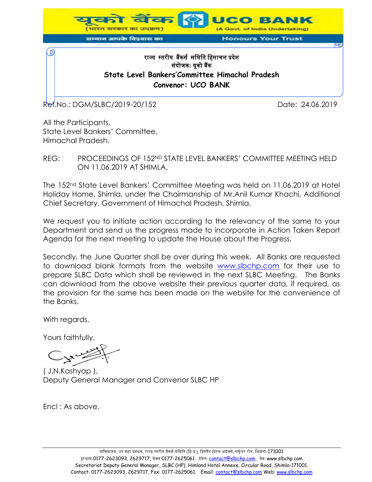

## राज्यस्तरीयबकैं र्सर्मिमत मििाचल प्रदशे र्यं ोजक**:** यूको बकैं **State Level Bankers'Committee Himachal Pradesh Convenor: UCO BANK**

Ref.No.: DGM/SLBC/2019-20/152 Date: 24.06.2019

All the Participants, State Level Bankers' Committee, Himachal Pradesh.

REG: PROCEEDINGS OF 152ND STATE LEVEL BANKERS' COMMITTEE MEETING HELD ON 11.06.2019 AT SHIMLA.

The 152nd State Level Bankers' Committee Meeting was held on 11.06.2019 at Hotel Holiday Home, Shimla, under the Chairmanship of Mr.Anil Kumar Khachi, Additional Chief Secretary, Government of Himachal Pradesh, Shimla.

We request you to initiate action according to the relevancy of the same to your Department and send us the progress made to incorporate in Action Taken Report Agenda for the next meeting to update the House about the Progress.

Secondly, the June Quarter shall be over during this week. All Banks are requested to download blank formats from the website [www.slbchp.com](http://www.slbchp.com/) for their use to prepare SLBC Data which shall be reviewed in the next SLBC Meeting. The Banks can download from the above website their previous quarter data, if required, as the provision for the same has been made on the website for the convenience of the Banks.

With regards,

Yours faithfully,

( J.N.Kashyap ), Deputy General Manager and Convenor SLBC HP

Encl : As above.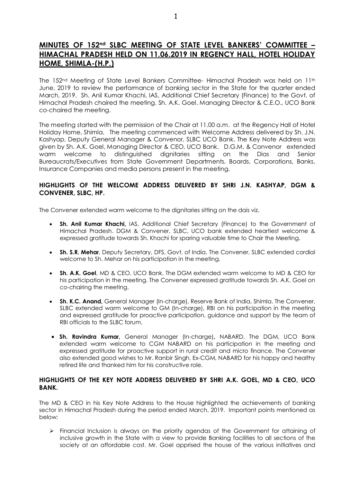## **MINUTES OF 152nd SLBC MEETING OF STATE LEVEL BANKERS' COMMITTEE – HIMACHAL PRADESH HELD ON 11.06.2019 IN REGENCY HALL, HOTEL HOLIDAY HOME, SHIMLA-(H.P.)**

The 152nd Meeting of State Level Bankers Committee- Himachal Pradesh was held on 11th June, 2019 to review the performance of banking sector in the State for the quarter ended March, 2019. Sh. Anil Kumar Khachi, IAS, Additional Chief Secretary (Finance) to the Govt. of Himachal Pradesh chaired the meeting. Sh. A.K. Goel, Managing Director & C.E.O., UCO Bank co-chaired the meeting.

The meeting started with the permission of the Chair at 11.00 a.m. at the Regency Hall of Hotel Holiday Home, Shimla. The meeting commenced with Welcome Address delivered by Sh. J.N. Kashyap, Deputy General Manager & Convenor, SLBC UCO Bank. The Key Note Address was given by Sh. A.K. Goel, Managing Director & CEO, UCO Bank. D.G.M. & Convenor extended warm welcome to distinguished dignitaries sitting on the Dias and Senior Bureaucrats/Executives from State Government Departments, Boards, Corporations, Banks, Insurance Companies and media persons present in the meeting.

#### **HIGHLIGHTS OF THE WELCOME ADDRESS DELIVERED BY SHRI J.N. KASHYAP, DGM & CONVENER, SLBC, HP.**

The Convener extended warm welcome to the dignitaries sitting on the dais viz.

- · **Sh. Anil Kumar Khachi,** IAS, Additional Chief Secretary (Finance) to the Government of Himachal Pradesh. DGM & Convener, SLBC, UCO bank extended heartiest welcome & expressed gratitude towards Sh. Khachi for sparing valuable time to Chair the Meeting.
- · **Sh. S.R. Mehar**, Deputy Secretary, DFS, Govt. of India. The Convener, SLBC extended cordial welcome to Sh. Mehar on his participation in the meeting.
- · **Sh. A.K. Goel**, MD & CEO, UCO Bank. The DGM extended warm welcome to MD & CEO for his participation in the meeting. The Convener expressed gratitude towards Sh. A.K. Goel on co-chairing the meeting.
- · **Sh. K.C. Anand,** General Manager (In-charge), Reserve Bank of India, Shimla. The Convener, SLBC extended warm welcome to GM (In-charge), RBI on his participation in the meeting and expressed gratitude for proactive participation, guidance and support by the team of RBI officials to the SLBC forum.
- · **Sh. Ravindra Kumar,** General Manager (In-charge)**,** NABARD. The DGM, UCO Bank extended warm welcome to CGM NABARD on his participation in the meeting and expressed gratitude for proactive support in rural credit and micro finance. The Convener also extended good wishes to Mr. Ranbir Singh, Ex-CGM, NABARD for his happy and healthy retired life and thanked him for his constructive role.

#### **HIGHLIGHTS OF THE KEY NOTE ADDRESS DELIVERED BY SHRI A.K. GOEL, MD & CEO, UCO BANK.**

The MD & CEO in his Key Note Address to the House highlighted the achievements of banking sector in Himachal Pradesh during the period ended March, 2019. Important points mentioned as below;

 $\triangleright$  Financial Inclusion is always on the priority agendas of the Government for attaining of inclusive growth in the State with a view to provide Banking facilities to all sections of the society at an affordable cost. Mr. Goel apprised the house of the various initiatives and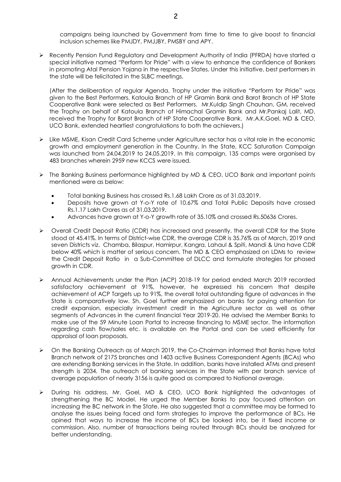campaigns being launched by Government from time to time to give boost to financial inclusion schemes like PMJDY, PMJJBY, PMSBY and APY.

ÿ Recently Pension Fund Regulatory and Development Authority of India (PFRDA) have started a special initiative named "Perform for Pride" with a view to enhance the confidence of Bankers in promoting Atal Pension Yojana in the respective States. Under this initiative, best performers in the state will be felicitated in the SLBC meetings.

(After the deliberation of regular Agenda, Trophy under the initiative "Perform for Pride" was given to the Best Performers. Katoula Branch of HP Gramin Bank and Barot Branch of HP State Cooperative Bank were selected as Best Performers. Mr.Kuldip Singh Chauhan, GM, received the Trophy on behalf of Katoula Branch of Himachal Gramin Bank and Mr.Pankaj Lalit, MD, received the Trophy for Barot Branch of HP State Cooperative Bank. Mr.A.K.Goel, MD & CEO, UCO Bank, extended heartiest congratulations to both the achievers.)

- $\triangleright$  Like MSME, Kisan Credit Card Scheme under Agriculture sector has a vital role in the economic growth and employment generation in the Country. In the State, KCC Saturation Campaign was launched from 24.04.2019 to 24.05.2019. In this campaign, 135 camps were organised by 483 branches wherein 2959 new KCCS were issued.
- $\triangleright$  The Banking Business performance highlighted by MD & CEO, UCO Bank and important points mentioned were as below:
	- · Total banking Business has crossed Rs.1.68 Lakh Crore as of 31.03.2019.
	- · Deposits have grown at Y-o-Y rate of 10.67% and Total Public Deposits have crossed Rs.1.17 Lakh Crores as of 31.03.2019.
	- · Advances have grown at Y-o-Y growth rate of 35.10% and crossed Rs.50636 Crores.
- $\triangleright$  Overall Credit Deposit Ratio (CDR) has increased and presently, the overall CDR for the State stood at 45.41%. In terms of District-wise CDR, the average CDR is 35.76% as of March, 2019 and seven Districts viz. Chamba, Bilaspur, Hamirpur, Kangra, Lahaul & Spiti, Mandi & Una have CDR below 40% which is matter of serious concern. The MD & CEO emphasized on LDMs to review the Credit Deposit Ratio in a Sub-Committee of DLCC and formulate strategies for phased growth in CDR.
- ÿ Annual Achievements under the Plan (ACP) 2018-19 for period ended March 2019 recorded satisfactory achievement at 91%, however, he expressed his concern that despite achievement of ACP Targets up to 91%, the overall total outstanding figure of advances in the State is comparatively low. Sh. Goel further emphasized on banks for paying attention for credit expansion, especially investment credit in the Agriculture sector as well as other segments of Advances in the current financial Year 2019-20. He advised the Member Banks to make use of the 59 Minute Loan Portal to increase financing to MSME sector. The information regarding cash flow/sales etc. is available on the Portal and can be used efficiently for appraisal of loan proposals.
- $\triangleright$  On the Banking Outreach as of March 2019, the Co-Chairman informed that Banks have total Branch network of 2175 branches and 1403 active Business Correspondent Agents (BCAs) who are extending Banking services in the State. In addition, banks have installed ATMs and present strength is 2034. The outreach of banking services in the State with per branch service of average population of nearly 3156 is quite good as compared to National average.
- > During his address, Mr. Goel, MD & CEO, UCO Bank highlighted the advantages of strengthening the BC Model. He urged the Member Banks to pay focused attention on increasing the BC network in the State. He also suggested that a committee may be formed to analyse the issues being faced and form strategies to improve the performance of BCs. He opined that ways to increase the income of BCs be looked into, be it fixed income or commission. Also, number of transactions being routed through BCs should be analyzed for better understanding.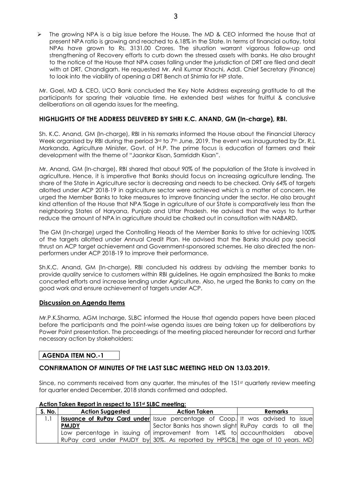> The growing NPA is a big issue before the House. The MD & CEO informed the house that at present NPA ratio is growing and reached to 6.18% in the State. In terms of financial outlay, total NPAs have grown to Rs. 3131.00 Crores. The situation warrant vigorous follow-up and strengthening of Recovery efforts to curb down the stressed assets with banks. He also brought to the notice of the House that NPA cases falling under the jurisdiction of DRT are filed and dealt with at DRT, Chandigarh. He requested Mr. Anil Kumar Khachi, Addl. Chief Secretary (Finance) to look into the viability of opening a DRT Bench at Shimla for HP state.

Mr. Goel, MD & CEO, UCO Bank concluded the Key Note Address expressing gratitude to all the participants for sparing their valuable time. He extended best wishes for fruitful & conclusive deliberations on all agenda issues for the meeting.

## **HIGHLIGHTS OF THE ADDRESS DELIVERED BY SHRI K.C. ANAND, GM (In-charge), RBI.**

Sh. K.C. Anand, GM (In-charge), RBI in his remarks informed the House about the Financial Literacy Week organised by RBI during the period 3rd to 7th June, 2019. The event was inaugurated by Dr. R.L Markanda, Agriculture Minister, Govt. of H.P. The prime focus is education of farmers and their development with the theme of "Jaankar Kisan, Samriddh Kisan".

Mr. Anand, GM (In-charge), RBI shared that about 90% of the population of the State is involved in agriculture. Hence, it is imperative that Banks should focus on increasing agriculture lending. The share of the State in Agriculture sector is decreasing and needs to be checked. Only 64% of targets allotted under ACP 2018-19 in agriculture sector were achieved which is a matter of concern. He urged the Member Banks to take measures to improve financing under the sector. He also brought kind attention of the House that NPA %age in agriculture of our State is comparatively less than the neighboring States of Haryana, Punjab and Uttar Pradesh. He advised that the ways to further reduce the amount of NPA in agriculture should be chalked out in consultation with NABARD.

The GM (In-charge) urged the Controlling Heads of the Member Banks to strive for achieving 100% of the targets allotted under Annual Credit Plan. He advised that the Banks should pay special thrust on ACP target achievement and Government-sponsored schemes. He also directed the nonperformers under ACP 2018-19 to improve their performance.

Sh.K.C. Anand, GM (In-charge), RBI concluded his address by advising the member banks to provide quality service to customers within RBI guidelines. He again emphasized the Banks to make concerted efforts and increase lending under Agriculture. Also, he urged the Banks to carry on the good work and ensure achievement of targets under ACP.

#### **Discussion on Agenda Items**

Mr.P.K.Sharma, AGM Incharge, SLBC informed the House that agenda papers have been placed before the participants and the point-wise agenda issues are being taken up for deliberations by Power Point presentation. The proceedings of the meeting placed hereunder for record and further necessary action by stakeholders:

## **AGENDA ITEM NO.-1**

## **CONFIRMATION OF MINUTES OF THE LAST SLBC MEETING HELD ON 13.03.2019.**

Since, no comments received from any quarter, the minutes of the  $151<sup>st</sup>$  quarterly review meeting for quarter ended December, 2018 stands confirmed and adopted.

| S. No. | <b>Action Suggested</b>                                                               | <b>Action Taken</b>                                  | <b>Remarks</b> |
|--------|---------------------------------------------------------------------------------------|------------------------------------------------------|----------------|
| 1.1    | <b>Issuance of RuPay Card under</b> Issue percentage of Coop. It was advised to issue |                                                      |                |
|        | <b>PMJDY</b>                                                                          | Sector Banks has shown slight RuPay cards to all the |                |
|        | Low percentage in issuing of improvement from 14% to accountholders above             |                                                      |                |
|        | RuPay card under PMJDY by 30%. As reported by HPSCB, the age of 10 years. MD          |                                                      |                |

#### **Action Taken Report in respect to 151st SLBC meeting:**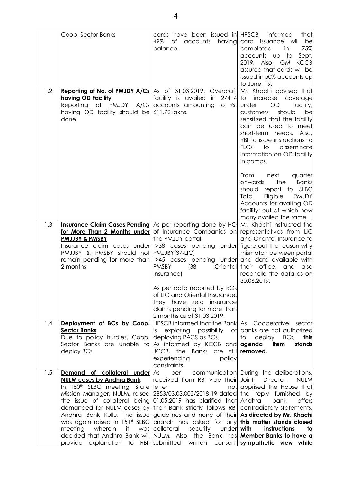|     | Coop. Sector Banks                                                                                                                                                                                                                                                                                                                                                                                                                                                                                                                                                                         | cards have been issued in HPSCB<br>49%<br>of<br>accounts<br>having<br>balance.                                                                                                                                             | informed<br>that<br>card issuance will<br>be<br>75%<br>completed<br>in<br>accounts up<br>to<br>Sept,<br>2019. Also, GM<br><b>KCCB</b><br>assured that cards will be<br>issued in 50% accounts up<br>to June, 19.                                                                                         |
|-----|--------------------------------------------------------------------------------------------------------------------------------------------------------------------------------------------------------------------------------------------------------------------------------------------------------------------------------------------------------------------------------------------------------------------------------------------------------------------------------------------------------------------------------------------------------------------------------------------|----------------------------------------------------------------------------------------------------------------------------------------------------------------------------------------------------------------------------|----------------------------------------------------------------------------------------------------------------------------------------------------------------------------------------------------------------------------------------------------------------------------------------------------------|
| 1.2 | Reporting of No. of PMJDY A/Cs As of 31.03.2019, Overdraft<br>having OD Facility<br>Reporting<br>having OD facility should be 611.72 lakhs.<br>done                                                                                                                                                                                                                                                                                                                                                                                                                                        | facility is availed in 27414<br>of PMJDY A/Cs accounts amounting to Rs.                                                                                                                                                    | Mr. Khachi advised that<br>to<br>increase<br>coverage<br>facility,<br>OD<br>under<br>customers<br>should<br>be<br>sensitized that the facility<br>can be used to meet<br>short-term needs. Also,<br>RBI to issue instructions to<br>disseminate<br>FICS<br>to<br>information on OD facility<br>in camps. |
|     |                                                                                                                                                                                                                                                                                                                                                                                                                                                                                                                                                                                            |                                                                                                                                                                                                                            | From<br>next<br>quarter<br>the<br><b>Banks</b><br>onwards,<br>report to SLBC<br>should<br>Eligible<br><b>PMJDY</b><br>Total<br>Accounts for availing OD<br>facility; out of which how<br>many availed the same.                                                                                          |
| 1.3 | <b>Insurance Claim Cases Pending</b> As per reporting done by HO<br>for More Than 2 Months under of Insurance Companies on<br><b>PMJJBY &amp; PMSBY</b><br>Insurance claim cases under ->38 cases pending under<br>PMJJBY & PMSBY should not PMJJBY(37-LIC)<br>remain pending for more than<br>2 months                                                                                                                                                                                                                                                                                    | the PMJDY portal:<br>->45 cases pending under<br><b>PMSBY</b><br>Oriental<br>$(38 -$<br>Insurance)                                                                                                                         | Mr. Khachi instructed the<br>representatives from LIC<br>and Oriental Insurance to<br>figure out the reason why<br>mismatch between portal<br>and data available with<br>their<br>office,<br>and<br>also<br>reconcile the data as on<br>30.06.2019.                                                      |
|     |                                                                                                                                                                                                                                                                                                                                                                                                                                                                                                                                                                                            | As per data reported by ROs<br>of LIC and Oriental Insurance,<br>they have zero insurance<br>claims pending for more than<br>2 months as of 31.03.2019.                                                                    |                                                                                                                                                                                                                                                                                                          |
| 1.4 | Deployment of BCs by Coop.<br><b>Sector Banks</b><br>Due to policy hurdles, Coop.<br>Sector Banks are unable to<br>deploy BCs.                                                                                                                                                                                                                                                                                                                                                                                                                                                             | HPSCB informed that the Bank As Cooperative sector<br>exploring possibility of<br>İS.<br>deploying PACS as BCs.<br>As informed by KCCB and<br>JCCB, the Banks are still removed.<br>experiencing<br>policy<br>constraints. | banks are not authorized<br>deploy<br>to<br>BCs,<br>this<br>agenda<br>item<br>stands                                                                                                                                                                                                                     |
| 1.5 | <b>Demand of collateral under</b> As<br><b>NULM cases by Andhra Bank</b><br>In 150 <sup>th</sup> SLBC meeting, State letter<br>Mission Manager, NULM, raised 2853/03.03.002/2018-19 dated<br>the issue of collateral being 01.05.2019 has clarified that<br>demanded for NULM cases by their Bank strictly follows RBI<br>Andhra Bank Kullu. The issue guidelines and none of their<br>was again raised in 151st SLBC branch has asked for any<br>wherein<br>meeting<br>it.<br>decided that Andhra Bank will NULM. Also, the Bank has <b>Member Banks to have a</b><br>provide explanation | per<br>received from RBI vide their<br>no.<br>was collateral<br>security<br>under<br>to RBI, submitted written consent <b>sympathetic view while</b>                                                                       | communication During the deliberations,<br>Joint<br>Director,<br><b>NULM</b><br>apprised the House that<br>the reply furnished by<br>Andhra<br>bank<br>offers<br>contradictory statements.<br>As directed by Mr. Khachi<br>this matter stands closed<br>with<br>instructions<br>tol                      |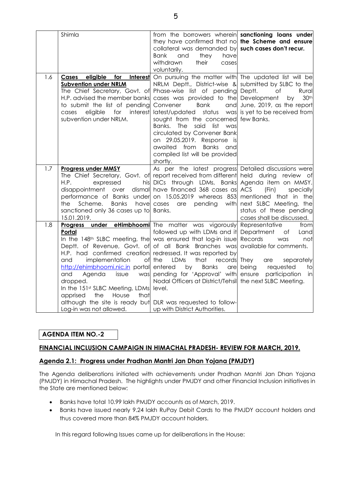|     | Shimla                                                                                                                                                                                                                                                                                                                                                                                                                                                                                                                                                                                    | from the borrowers wherein <b>sanctioning loans under</b><br>they have confirmed that no the Scheme and ensure<br>collateral was demanded by such cases don't recur.<br><b>Bank</b><br>and<br>they<br>have<br>withdrawn<br>their<br>cases<br>voluntarily.                                                                                                                                                                                                                                       |                                                                                                                                                 |
|-----|-------------------------------------------------------------------------------------------------------------------------------------------------------------------------------------------------------------------------------------------------------------------------------------------------------------------------------------------------------------------------------------------------------------------------------------------------------------------------------------------------------------------------------------------------------------------------------------------|-------------------------------------------------------------------------------------------------------------------------------------------------------------------------------------------------------------------------------------------------------------------------------------------------------------------------------------------------------------------------------------------------------------------------------------------------------------------------------------------------|-------------------------------------------------------------------------------------------------------------------------------------------------|
| 1.6 | eligible<br>for<br><b>Interest</b><br>Cases<br><b>Subvention under NRLM</b><br>The Chief Secretary, Govt. of<br>H.P. advised the member banks<br>to submit the list of pending<br>eligible<br>for<br>interest<br>cases<br>subvention under NRLM.                                                                                                                                                                                                                                                                                                                                          | On pursuing the matter with The updated list will be<br>NRLM Deptt., District-wise & submitted by SLBC to the<br>Phase-wise list of pending Deptt.<br>cases was provided to the Development<br>Convener<br><b>Bank</b><br>and<br>latest/updated<br>status<br>sought from the concerned few Banks.<br>Banks.<br><b>The</b><br>said list<br>was<br>circulated by Convener Bank<br>on 29.05.2019. Response is<br>awaited from<br><b>Banks</b><br>and<br>compiled list will be provided<br>shortly. | Rural<br>Οf<br>30 <sup>th</sup><br>by<br>June, 2019, as the report<br>was is yet to be received from                                            |
| 1.7 | <b>Progress under MMSY</b><br>The Chief Secretary, Govt. of report received from different held during review of<br>H.P.<br>expressed<br>his<br>dismal<br>disappointment<br>over<br>performance of Banks under on 15.05.2019 whereas 853 mentioned that in the<br><b>Banks</b><br>have<br>Scheme.<br>the<br>sanctioned only 36 cases up to Banks.<br>15.01.2019.                                                                                                                                                                                                                          | As per the latest progress Detailed discussions were<br>DICs through LDMs, Banks Agenda item on MMSY.<br>have financed 368 cases as ACS<br>pending<br>cases<br>are<br>with                                                                                                                                                                                                                                                                                                                      | (Fin)<br>specially<br>next SLBC Meeting, the<br>status of these pending<br>cases shall be discussed.                                            |
| 1.8 | <b>Progress under eHimbhoomi</b> The matter was vigorously Representative<br>Portal<br>In the 148 <sup>th</sup> SLBC meeting, the was ensured that log-in issue Records<br>Deptt. of Revenue, Govt. of of all Bank Branches was<br>H.P. had confirmed creation redressed. It was reported by<br>implementation<br>and<br>http://ehimbhoomi.nic.in portal<br>and<br>Agenda<br>issue<br>was<br>dropped.<br>In the 151 <sup>st</sup> SLBC Meeting, LDMs level.<br>House<br>apprised<br>the<br>that<br>although the site is ready but DLR was requested to follow-<br>Log-in was not allowed. | followed up with LDMs and it Department<br>of the<br>LDMs<br>that<br>records<br><b>Banks</b><br>entered<br>by<br>pending for 'Approval' with ensure<br>Nodal Officers at District/Tehsill the next SLBC Meeting.<br>up with District Authorities.                                                                                                                                                                                                                                               | from<br>of<br>Land<br>was<br>not<br>available for comments.<br>They<br>separately<br>are<br>are being<br>requested<br>to<br>participation<br>in |

## **AGENDA ITEM NO.-2**

#### **FINANCIAL INCLUSION CAMPAIGN IN HIMACHAL PRADESH- REVIEW FOR MARCH, 2019.**

#### **Agenda 2.1: Progress under Pradhan Mantri Jan Dhan Yojana (PMJDY)**

The Agenda deliberations initiated with achievements under Pradhan Mantri Jan Dhan Yojana (PMJDY) in Himachal Pradesh. The highlights under PMJDY and other Financial Inclusion initiatives in the State are mentioned below:

- · Banks have total 10.99 lakh PMJDY accounts as of March, 2019.
- · Banks have issued nearly 9.24 lakh RuPay Debit Cards to the PMJDY account holders and thus covered more than 84% PMJDY account holders.

In this regard following Issues came up for deliberations in the House: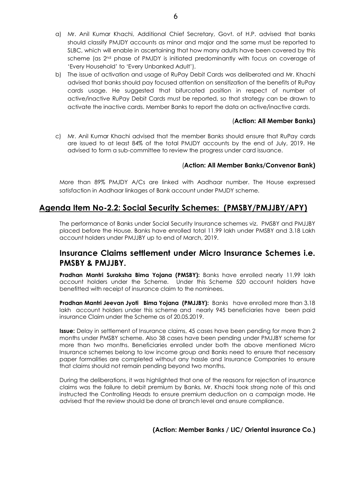- a) Mr. Anil Kumar Khachi, Additional Chief Secretary, Govt. of H.P. advised that banks should classify PMJDY accounts as minor and major and the same must be reported to SLBC, which will enable in ascertaining that how many adults have been covered by this scheme (as 2<sup>nd</sup> phase of PMJDY is initiated predominantly with focus on coverage of 'Every Household' to 'Every Unbanked Adult').
- b) The issue of activation and usage of RuPay Debit Cards was deliberated and Mr. Khachi advised that banks should pay focused attention on sensitization of the benefits of RuPay cards usage. He suggested that bifurcated position in respect of number of active/inactive RuPay Debit Cards must be reported, so that strategy can be drawn to activate the inactive cards. Member Banks to report the data on active/inactive cards.

#### (**Action: All Member Banks)**

c) Mr. Anil Kumar Khachi advised that the member Banks should ensure that RuPay cards are issued to at least 84% of the total PMJDY accounts by the end of July, 2019. He advised to form a sub-committee to review the progress under card issuance.

## (**Action: All Member Banks/Convenor Bank)**

More than 89% PMJDY A/Cs are linked with Aadhaar number. The House expressed satisfaction in Aadhaar linkages of Bank account under PMJDY scheme.

## **Agenda Item No-2.2: Social Security Schemes: (PMSBY/PMJJBY/APY)**

The performance of Banks under Social Security Insurance schemes viz. PMSBY and PMJJBY placed before the House. Banks have enrolled total 11.99 lakh under PMSBY and 3.18 Lakh account holders under PMJJBY up to end of March, 2019.

## **Insurance Claims settlement under Micro Insurance Schemes i.e. PMSBY & PMJJBY.**

**Pradhan Mantri Suraksha Bima Yojana (PMSBY):** Banks have enrolled nearly 11.99 lakh account holders under the Scheme. Under this Scheme 520 account holders have benefitted with receipt of insurance claim to the nominees.

**Pradhan Mantri Jeevan Jyoti Bima Yojana (PMJJBY):** Banks have enrolled more than 3.18 lakh account holders under this scheme and nearly 945 beneficiaries have been paid insurance Claim under the Scheme as of 20.05.2019.

**Issue:** Delay in settlement of Insurance claims, 45 cases have been pending for more than 2 months under PMSBY scheme. Also 38 cases have been pending under PMJJBY scheme for more than two months. Beneficiaries enrolled under both the above mentioned Micro Insurance schemes belong to low income group and Banks need to ensure that necessary paper formalities are completed without any hassle and Insurance Companies to ensure that claims should not remain pending beyond two months.

During the deliberations, it was highlighted that one of the reasons for rejection of insurance claims was the failure to debit premium by Banks. Mr. Khachi took strong note of this and instructed the Controlling Heads to ensure premium deduction on a campaign mode. He advised that the review should be done at branch level and ensure compliance.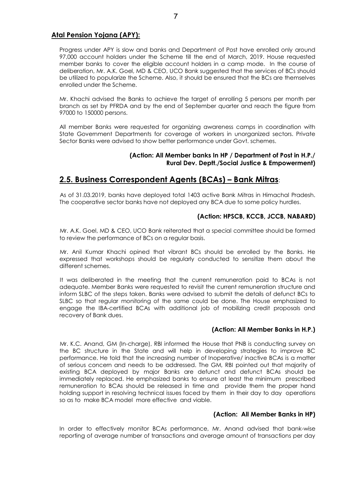## **Atal Pension Yojana (APY):**

Progress under APY is slow and banks and Department of Post have enrolled only around 97,000 account holders under the Scheme till the end of March, 2019. House requested member banks to cover the eligible account holders in a camp mode. In the course of deliberation, Mr. A.K. Goel, MD & CEO, UCO Bank suggested that the services of BCs should be utilized to popularize the Scheme. Also, it should be ensured that the BCs are themselves enrolled under the Scheme.

Mr. Khachi advised the Banks to achieve the target of enrolling 5 persons per month per branch as set by PFRDA and by the end of September quarter and reach the figure from 97000 to 150000 persons.

All member Banks were requested for organizing awareness camps in coordination with State Government Departments for coverage of workers in unorganized sectors. Private Sector Banks were advised to show better performance under Govt. schemes.

#### **(Action: All Member banks In HP / Department of Post in H.P./ Rural Dev. Deptt./Social Justice & Empowerment)**

## **2.5. Business Correspondent Agents (BCAs) – Bank Mitras**:

As of 31.03.2019, banks have deployed total 1403 active Bank Mitras in Himachal Pradesh. The cooperative sector banks have not deployed any BCA due to some policy hurdles.

## **(Action: HPSCB, KCCB, JCCB, NABARD)**

Mr. A.K. Goel, MD & CEO, UCO Bank reiterated that a special committee should be formed to review the performance of BCs on a regular basis.

Mr. Anil Kumar Khachi opined that vibrant BCs should be enrolled by the Banks. He expressed that workshops should be regularly conducted to sensitize them about the different schemes.

It was deliberated in the meeting that the current remuneration paid to BCAs is not adequate. Member Banks were requested to revisit the current remuneration structure and inform SLBC of the steps taken. Banks were advised to submit the details of defunct BCs to SLBC so that regular monitoring of the same could be done. The House emphasized to engage the IBA-certified BCAs with additional job of mobilizing credit proposals and recovery of Bank dues.

## **(Action: All Member Banks in H.P.)**

Mr. K.C. Anand, GM (In-charge), RBI informed the House that PNB is conducting survey on the BC structure in the State and will help in developing strategies to improve BC performance. He told that the increasing number of Inoperative/ inactive BCAs is a matter of serious concern and needs to be addressed. The GM, RBI pointed out that majority of existing BCA deployed by major Banks are defunct and defunct BCAs should be immediately replaced. He emphasized banks to ensure at least the minimum prescribed remuneration to BCAs should be released in time and provide them the proper hand holding support in resolving technical issues faced by them in their day to day operations so as to make BCA model more effective and viable.

#### **(Action: All Member Banks in HP)**

In order to effectively monitor BCAs performance, Mr. Anand advised that bank-wise reporting of average number of transactions and average amount of transactions per day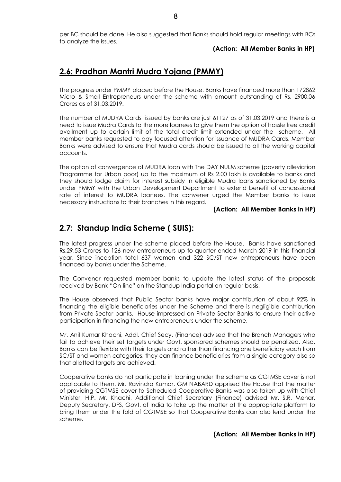per BC should be done. He also suggested that Banks should hold regular meetings with BCs to analyze the issues.

#### **(Action: All Member Banks in HP)**

# **2.6: Pradhan Mantri Mudra Yojana (PMMY)**

The progress under PMMY placed before the House. Banks have financed more than 172862 Micro & Small Entrepreneurs under the scheme with amount outstanding of Rs. 2900.06 Crores as of 31.03.2019.

The number of MUDRA Cards issued by banks are just 61127 as of 31.03.2019 and there is a need to issue Mudra Cards to the more loanees to give them the option of hassle free credit availment up to certain limit of the total credit limit extended under the scheme. All member banks requested to pay focused attention for issuance of MUDRA Cards. Member Banks were advised to ensure that Mudra cards should be issued to all the working capital accounts.

The option of convergence of MUDRA loan with The DAY NULM scheme (poverty alleviation Programme for Urban poor) up to the maximum of Rs 2.00 lakh is available to banks and they should lodge claim for interest subsidy in eligible Mudra loans sanctioned by Banks under PMMY with the Urban Development Department to extend benefit of concessional rate of interest to MUDRA loanees. The convener urged the Member banks to issue necessary instructions to their branches in this regard.

#### **(Action: All Member Banks in HP)**

## **2.7: Standup India Scheme ( SUIS):**

The latest progress under the scheme placed before the House. Banks have sanctioned Rs.29.53 Crores to 126 new entrepreneurs up to quarter ended March 2019 in this financial year. Since inception total 637 women and 322 SC/ST new entrepreneurs have been financed by banks under the Scheme.

The Convenor requested member banks to update the latest status of the proposals received by Bank "On-line" on the Standup India portal on regular basis.

The House observed that Public Sector banks have major contribution of about 92% in financing the eligible beneficiaries under the Scheme and there is negligible contribution from Private Sector banks. House impressed on Private Sector Banks to ensure their active participation in financing the new entrepreneurs under the scheme.

Mr. Anil Kumar Khachi, Addl. Chief Secy. (Finance) advised that the Branch Managers who fail to achieve their set targets under Govt, sponsored schemes should be penalized. Also, Banks can be flexible with their targets and rather than financing one beneficiary each from SC/ST and women categories, they can finance beneficiaries from a single category also so that allotted targets are achieved.

Cooperative banks do not participate in loaning under the scheme as CGTMSE cover is not applicable to them. Mr. Ravindra Kumar, GM NABARD apprised the House that the matter of providing CGTMSE cover to Scheduled Cooperative Banks was also taken up with Chief Minister, H.P. Mr. Khachi, Additional Chief Secretary (Finance) advised Mr. S.R. Mehar, Deputy Secretary, DFS, Govt. of India to take up the matter at the appropriate platform to bring them under the fold of CGTMSE so that Cooperative Banks can also lend under the scheme.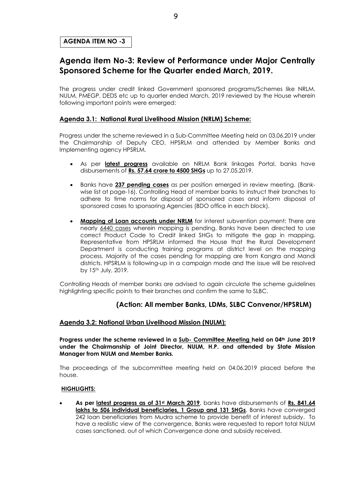#### **AGENDA ITEM NO -3**

## **Agenda item No-3: Review of Performance under Major Centrally Sponsored Scheme for the Quarter ended March, 2019.**

The progress under credit linked Government sponsored programs/Schemes like NRLM, NULM, PMEGP, DEDS etc up to quarter ended March, 2019 reviewed by the House wherein following important points were emerged:

#### **Agenda 3.1: National Rural Livelihood Mission (NRLM) Scheme:**

Progress under the scheme reviewed in a Sub-Committee Meeting held on 03.06.2019 under the Chairmanship of Deputy CEO, HPSRLM and attended by Member Banks and Implementing agency HPSRLM.

- · As per **latest progress** available on NRLM Bank linkages Portal, banks have disbursements of **Rs. 57.64 crore to 4500 SHGs** up to 27.05.2019.
- · Banks have **237 pending cases** as per position emerged in review meeting. (Bankwise list at page-16). Controlling Head of member banks to instruct their branches to adhere to time norms for disposal of sponsored cases and inform disposal of sponsored cases to sponsoring Agencies (BDO office in each block).
- · **Mapping of Loan accounts under NRLM** for interest subvention payment: There are nearly 6440 cases wherein mapping is pending. Banks have been directed to use correct Product Code to Credit linked SHGs to mitigate the gap in mapping. Representative from HPSRLM informed the House that the Rural Development Department is conducting training programs at district level on the mapping process. Majority of the cases pending for mapping are from Kangra and Mandi districts. HPSRLM is following-up in a campaign mode and the issue will be resolved by 15th July, 2019.

Controlling Heads of member banks are advised to again circulate the scheme guidelines highlighting specific points to their branches and confirm the same to SLBC.

## **(Action: All member Banks, LDMs, SLBC Convenor/HPSRLM)**

#### **Agenda 3.2: National Urban Livelihood Mission (NULM):**

**Progress under the scheme reviewed in a Sub- Committee Meeting held on 04th June 2019 under the Chairmanship of Joint Director, NULM, H.P. and attended by State Mission Manager from NULM and Member Banks.** 

The proceedings of the subcommittee meeting held on 04.06.2019 placed before the house.

#### **HIGHLIGHTS:**

· **As per latest progress as of 31st March 2019**, banks have disbursements of **Rs. 841.64 lakhs to 506 individual beneficiaries, 1 Group and 131 SHGs**. Banks have converged 242 loan beneficiaries from Mudra scheme to provide benefit of interest subsidy. To have a realistic view of the convergence, Banks were requested to report total NULM cases sanctioned, out of which Convergence done and subsidy received.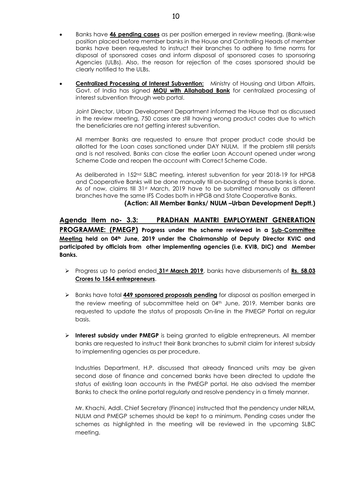- · Banks have **46 pending cases** as per position emerged in review meeting. (Bank-wise position placed before member banks in the House and Controlling Heads of member banks have been requested to instruct their branches to adhere to time norms for disposal of sponsored cases and inform disposal of sponsored cases to sponsoring Agencies (ULBs). Also, the reason for rejection of the cases sponsored should be clearly notified to the ULBs.
- **Centralized Processing of Interest Subvention:** Ministry of Housing and Urban Affairs, Govt. of India has signed **MOU with Allahabad Bank** for centralized processing of interest subvention through web portal.

Joint Director, Urban Development Department informed the House that as discussed in the review meeting, 750 cases are still having wrong product codes due to which the beneficiaries are not getting interest subvention.

All member Banks are requested to ensure that proper product code should be allotted for the Loan cases sanctioned under DAY NULM. If the problem still persists and is not resolved, Banks can close the earlier Loan Account opened under wrong Scheme Code and reopen the account with Correct Scheme Code.

As deliberated in 152<sup>nd</sup> SLBC meeting, interest subvention for year 2018-19 for HPGB and Cooperative Banks will be done manually till on-boarding of these banks is done. As of now, claims till 31st March, 2019 have to be submitted manually as different branches have the same IFS Codes both in HPGB and State Cooperative Banks.

 **(Action: All Member Banks/ NULM –Urban Development Deptt.)**

## **Agenda Item no- 3.3: PRADHAN MANTRI EMPLOYMENT GENERATION**

**PROGRAMME: (PMEGP) Progress under the scheme reviewed in a Sub-Committee Meeting held on 04th June, 2019 under the Chairmanship of Deputy Director KVIC and participated by officials from other implementing agencies (i.e. KVIB, DIC) and Member Banks.** 

- ÿ Progress up to period ended **31st March 2019**, banks have disbursements of **Rs. 58.03 Crores to 1564 entrepreneurs**.
- ÿ Banks have total **449 sponsored proposals pending** for disposal as position emerged in the review meeting of subcommittee held on 04<sup>th</sup> June, 2019. Member banks are requested to update the status of proposals On-line in the PMEGP Portal on regular basis.
- ÿ **Interest subsidy under PMEGP** is being granted to eligible entrepreneurs. All member banks are requested to instruct their Bank branches to submit claim for interest subsidy to implementing agencies as per procedure.

Industries Department, H.P. discussed that already financed units may be given second dose of finance and concerned banks have been directed to update the status of existing loan accounts in the PMEGP portal. He also advised the member Banks to check the online portal regularly and resolve pendency in a timely manner.

Mr. Khachi, Addl. Chief Secretary (Finance) instructed that the pendency under NRLM, NULM and PMEGP schemes should be kept to a minimum. Pending cases under the schemes as highlighted in the meeting will be reviewed in the upcoming SLBC meeting.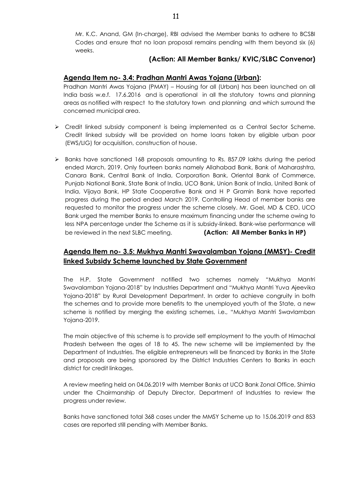Mr. K.C. Anand, GM (In-charge), RBI advised the Member banks to adhere to BCSBI Codes and ensure that no loan proposal remains pending with them beyond six (6) weeks.

## **(Action: All Member Banks/ KVIC/SLBC Convenor)**

## **Agenda Item no- 3.4: Pradhan Mantri Awas Yojana (Urban):**

Pradhan Mantri Awas Yojana (PMAY) – Housing for all (Urban) has been launched on all India basis w.e.f. 17.6.2016 and is operational in all the statutory towns and planning areas as notified with respect to the statutory town and planning and which surround the concerned municipal area.

- $\triangleright$  Credit linked subsidy component is being implemented as a Central Sector Scheme. Credit linked subsidy will be provided on home loans taken by eligible urban poor (EWS/LIG) for acquisition, construction of house.
- $\triangleright$  Banks have sanctioned 168 proposals amounting to Rs. 857.09 lakhs during the period ended March, 2019. Only fourteen banks namely Allahabad Bank, Bank of Maharashtra, Canara Bank, Central Bank of India, Corporation Bank, Oriental Bank of Commerce, Punjab National Bank, State Bank of India, UCO Bank, Union Bank of India, United Bank of India, Vijaya Bank, HP State Cooperative Bank and H P Gramin Bank have reported progress during the period ended March 2019. Controlling Head of member banks are requested to monitor the progress under the scheme closely. Mr. Goel, MD & CEO, UCO Bank urged the member Banks to ensure maximum financing under the scheme owing to less NPA percentage under the Scheme as it is subsidy-linked. Bank-wise performance will be reviewed in the next SLBC meeting. **(Action: All Member Banks in HP)**

## **Agenda Item no- 3.5: Mukhya Mantri Swavalamban Yojana (MMSY)- Credit linked Subsidy Scheme launched by State Government**

The H.P. State Government notified two schemes namely "Mukhya Mantri Swavalamban Yojana-2018" by Industries Department and "Mukhya Mantri Yuva Ajeevika Yojana-2018" by Rural Development Department. In order to achieve congruity in both the schemes and to provide more benefits to the unemployed youth of the State, a new scheme is notified by merging the existing schemes, i.e., "Mukhya Mantri Swavlamban Yojana-2019.

The main objective of this scheme is to provide self employment to the youth of Himachal Pradesh between the ages of 18 to 45. The new scheme will be implemented by the Department of Industries. The eligible entrepreneurs will be financed by Banks in the State and proposals are being sponsored by the District Industries Centers to Banks in each district for credit linkages.

A review meeting held on 04.06.2019 with Member Banks at UCO Bank Zonal Office, Shimla under the Chairmanship of Deputy Director, Department of Industries to review the progress under review.

Banks have sanctioned total 368 cases under the MMSY Scheme up to 15.06.2019 and 853 cases are reported still pending with Member Banks.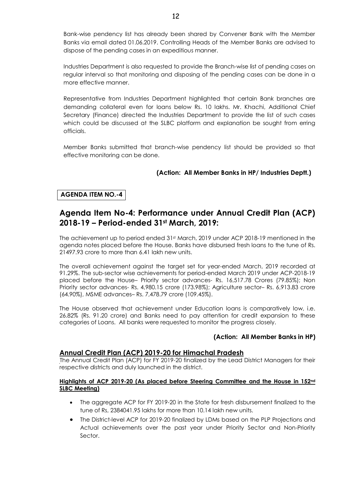Bank-wise pendency list has already been shared by Convener Bank with the Member Banks via email dated 01.06.2019. Controlling Heads of the Member Banks are advised to dispose of the pending cases in an expeditious manner.

Industries Department is also requested to provide the Branch-wise list of pending cases on regular interval so that monitoring and disposing of the pending cases can be done in a more effective manner.

Representative from Industries Department highlighted that certain Bank branches are demanding collateral even for loans below Rs. 10 lakhs. Mr. Khachi, Additional Chief Secretary (Finance) directed the Industries Department to provide the list of such cases which could be discussed at the SLBC platform and explanation be sought from erring officials.

Member Banks submitted that branch-wise pendency list should be provided so that effective monitoring can be done.

## **(Action: All Member Banks in HP/ Industries Deptt.)**

## **AGENDA ITEM NO.-4**

## **Agenda Item No-4: Performance under Annual Credit Plan (ACP) 2018-19 – Period-ended 31st March, 2019:**

The achievement up to period ended 31st March, 2019 under ACP 2018-19 mentioned in the agenda notes placed before the House. Banks have disbursed fresh loans to the tune of Rs. 21497.93 crore to more than 6.41 lakh new units.

The overall achievement against the target set for year-ended March, 2019 recorded at 91.29%. The sub-sector wise achievements for period-ended March 2019 under ACP-2018-19 placed before the House– Priority sector advances- Rs. 16,517.78 Crores (79.85%); Non Priority sector advances- Rs. 4,980.15 crore (173.98%); Agriculture sector– Rs. 6,913.83 crore (64.90%), MSME advances– Rs. 7,478.79 crore (109.45%).

The House observed that achievement under Education loans is comparatively low, i.e. 26.82% (Rs. 91.20 crore) and Banks need to pay attention for credit expansion to these categories of Loans. All banks were requested to monitor the progress closely.

## **(Action: All Member Banks in HP)**

#### **Annual Credit Plan (ACP) 2019-20 for Himachal Pradesh**

The Annual Credit Plan (ACP) for FY 2019-20 finalized by the Lead District Managers for their respective districts and duly launched in the district.

#### **Highlights of ACP 2019-20 (As placed before Steering Committee and the House in 152nd SLBC Meeting)**

- The aggregate ACP for FY 2019-20 in the State for fresh disbursement finalized to the tune of Rs, 2384041.95 lakhs for more than 10.14 lakh new units.
- The District-level ACP for 2019-20 finalized by LDMs based on the PLP Projections and Actual achievements over the past year under Priority Sector and Non-Priority Sector.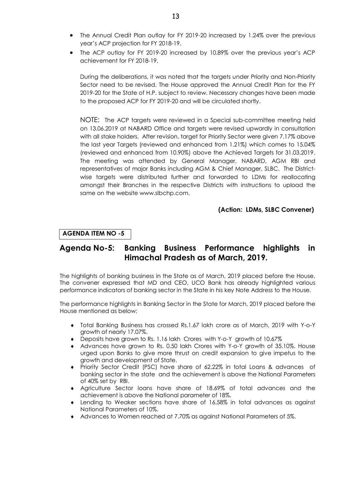- · The Annual Credit Plan outlay for FY 2019-20 increased by 1.24% over the previous year's ACP projection for FY 2018-19.
- · The ACP outlay for FY 2019-20 increased by 10.89% over the previous year's ACP achievement for FY 2018-19.

During the deliberations, it was noted that the targets under Priority and Non-Priority Sector need to be revised. The House approved the Annual Credit Plan for the FY 2019-20 for the State of H.P. subject to review. Necessary changes have been made to the proposed ACP for FY 2019-20 and will be circulated shortly.

NOTE: The ACP targets were reviewed in a Special sub-committee meeting held on 13.06.2019 at NABARD Office and targets were revised upwardly in consultation with all stake holders. After revision, target for Priority Sector were given 7.17% above the last year Targets (reviewed and enhanced from 1.21%) which comes to 15.04% (reviewed and enhanced from 10.90%) above the Achieved Targets for 31.03.2019. The meeting was attended by General Manager, NABARD, AGM RBI and representatives of major Banks including AGM & Chief Manager, SLBC. The Districtwise targets were distributed further and forwarded to LDMs for reallocating amongst their Branches in the respective Districts with instructions to upload the same on the website www.slbchp.com.

#### **(Action: LDMs, SLBC Convener)**

#### **AGENDA ITEM NO -5**

## **Agenda No-5: Banking Business Performance highlights in Himachal Pradesh as of March, 2019.**

The highlights of banking business in the State as of March, 2019 placed before the House. The convener expressed that MD and CEO, UCO Bank has already highlighted various performance indicators of banking sector in the State in his key Note Address to the House.

The performance highlights in Banking Sector in the State for March, 2019 placed before the House mentioned as below;

- ® Total Banking Business has crossed Rs.1.67 lakh crore as of March, 2019 with Y-o-Y growth of nearly 17.07%.
- ® Deposits have grown to Rs. 1.16 lakh Crores with Y-o-Y growth of 10.67%
- ® Advances have grown to Rs. 0.50 lakh Crores with Y-o-Y growth of 35.10%. House urged upon Banks to give more thrust on credit expansion to give impetus to the growth and development of State.
- ® Priority Sector Credit (PSC) have share of 62.22% in total Loans & advances of banking sector in the state and the achievement is above the National Parameters of 40% set by RBI.
- ® Agriculture Sector loans have share of 18.69% of total advances and the achievement is above the National parameter of 18%.
- ® Lending to Weaker sections have share of 16.58% in total advances as against National Parameters of 10%.
- ® Advances to Women reached at 7.70% as against National Parameters of 5%.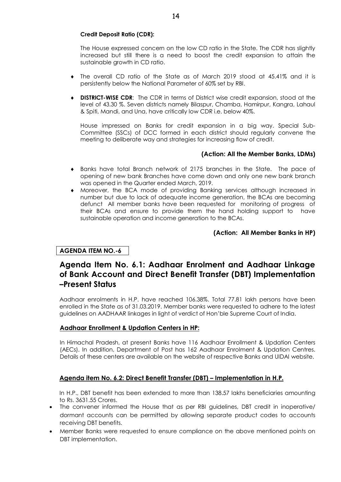### **Credit Deposit Ratio (CDR):**

The House expressed concern on the low CD ratio in the State. The CDR has slightly increased but still there is a need to boost the credit expansion to attain the sustainable growth in CD ratio.

- ® The overall CD ratio of the State as of March 2019 stood at 45.41% and it is persistently below the National Parameter of 60% set by RBI.
- ® **DISTRICT-WISE CDR**: The CDR in terms of District wise credit expansion, stood at the level of 43.30 %. Seven districts namely Bilaspur, Chamba, Hamirpur, Kangra, Lahaul & Spiti, Mandi, and Una, have critically low CDR i.e. below 40%.

House impressed on Banks for credit expansion in a big way. Special Sub-Committee (SSCs) of DCC formed in each district should regularly convene the meeting to deliberate way and strategies for increasing flow of credit.

## **(Action: All the Member Banks, LDMs)**

- ® Banks have total Branch network of 2175 branches in the State. The pace of opening of new bank Branches have come down and only one new bank branch was opened in the Quarter ended March, 2019.
- ® Moreover, the BCA mode of providing Banking services although increased in number but due to lack of adequate income generation, the BCAs are becoming defunct All member banks have been requested for monitoring of progress of their BCAs and ensure to provide them the hand holding support to have sustainable operation and income generation to the BCAs.

**(Action: All Member Banks in HP)**

#### **AGENDA ITEM NO.-6**

## **Agenda Item No. 6.1: Aadhaar Enrolment and Aadhaar Linkage of Bank Account and Direct Benefit Transfer (DBT) Implementation –Present Status**

Aadhaar enrolments in H.P. have reached 106.38%. Total 77.81 lakh persons have been enrolled in the State as of 31.03.2019. Member banks were requested to adhere to the latest guidelines on AADHAAR linkages in light of verdict of Hon'ble Supreme Court of India.

#### **Aadhaar Enrollment & Updation Centers in HP:**

In Himachal Pradesh, at present Banks have 116 Aadhaar Enrollment & Updation Centers (AECs). In addition, Department of Post has 162 Aadhaar Enrolment & Updation Centres. Details of these centers are available on the website of respective Banks and UIDAI website.

## **Agenda item No. 6.2: Direct Benefit Transfer (DBT) – Implementation in H.P.**

In H.P., DBT benefit has been extended to more than 138.57 lakhs beneficiaries amounting to Rs. 3631.55 Crores.

- The convener informed the House that as per RBI guidelines, DBT credit in inoperative/ dormant accounts can be permitted by allowing separate product codes to accounts receiving DBT benefits.
- · Member Banks were requested to ensure compliance on the above mentioned points on DBT implementation.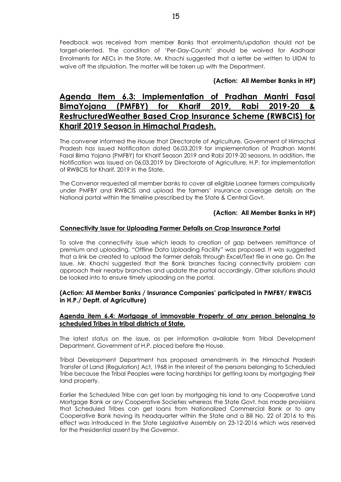Feedback was received from member Banks that enrolments/updation should not be target-oriented. The condition of 'Per-Day-Counts' should be waived for Aadhaar Enrolments for AECs in the State. Mr. Khachi suggested that a letter be written to UIDAI to waive off the stipulation. The matter will be taken up with the Department.

### **(Action: All Member Banks in HP)**

## **Agenda Item 6.3: Implementation of Pradhan Mantri Fasal BimaYojana (PMFBY) for Kharif 2019, Rabi 2019-20 & RestructuredWeather Based Crop Insurance Scheme (RWBCIS) for Kharif 2019 Season in Himachal Pradesh.**

The convener informed the House that Directorate of Agriculture, Government of Himachal Pradesh has issued Notification dated 06.03.2019 for implementation of Pradhan Mantri Fasal Bima Yojana (PMFBY) for Kharif Season 2019 and Rabi 2019-20 seasons. In addition, the Notification was issued on 06.03.2019 by Directorate of Agriculture, H.P. for implementation of RWBCIS for Kharif, 2019 in the State.

The Convenor requested all member banks to cover all eligible Loanee farmers compulsorily under PMFBY and RWBCIS and upload the farmers' insurance coverage details on the National portal within the timeline prescribed by the State & Central Govt.

#### **(Action: All Member Banks in HP)**

#### **Connectivity Issue for Uploading Farmer Details on Crop Insurance Portal**

To solve the connectivity issue which leads to creation of gap between remittance of premium and uploading, "Offline Data Uploading Facility" was proposed. It was suggested that a link be created to upload the farmer details through Excel/Text file in one go. On the issue, Mr. Khachi suggested that the Bank branches facing connectivity problem can approach their nearby branches and update the portal accordingly. Other solutions should be looked into to ensure timely uploading on the portal.

#### **(Action: All Member Banks / Insurance Companies' participated in PMFBY/ RWBCIS in H.P./ Deptt. of Agriculture)**

#### **Agenda item 6.4: Mortgage of immovable Property of any person belonging to scheduled Tribes in tribal districts of State.**

The latest status on the issue, as per information available from Tribal Development Department, Government of H.P. placed before the House.

Tribal Development Department has proposed amendments in the Himachal Pradesh Transfer of Land (Regulation) Act, 1968 in the interest of the persons belonging to Scheduled Tribe because the Tribal Peoples were facing hardships for getting loans by mortgaging their land property.

Earlier the Scheduled Tribe can get loan by mortgaging his land to any Cooperative Land Mortgage Bank or any Cooperative Societies whereas the State Govt. has made provisions that Scheduled Tribes can get loans from Nationalized Commercial Bank or to any Cooperative Bank having its headquarter within the State and a Bill No. 22 of 2016 to this effect was introduced in the State Legislative Assembly on 23-12-2016 which was reserved for the Presidential assent by the Governor.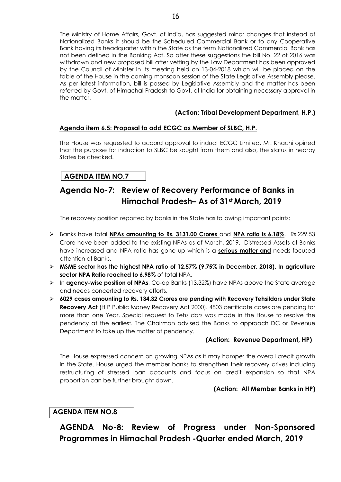The Ministry of Home Affairs, Govt. of India, has suggested minor changes that instead of Nationalized Banks it should be the Scheduled Commercial Bank or to any Cooperative Bank having its headquarter within the State as the term Nationalized Commercial Bank has not been defined in the Banking Act. So after these suggestions the bill No. 22 of 2016 was withdrawn and new proposed bill after vetting by the Law Department has been approved by the Council of Minister in its meeting held on 13-04-2018 which will be placed on the table of the House in the coming monsoon session of the State Legislative Assembly please. As per latest information, bill is passed by Legislative Assembly and the matter has been referred by Govt. of Himachal Pradesh to Govt. of India for obtaining necessary approval in the matter.

## **(Action: Tribal Development Department, H.P.)**

## **Agenda item 6.5: Proposal to add ECGC as Member of SLBC, H.P.**

The House was requested to accord approval to induct ECGC Limited. Mr. Khachi opined that the purpose for induction to SLBC be sought from them and also, the status in nearby States be checked.

## **AGENDA ITEM NO.7**

# **Agenda No-7: Review of Recovery Performance of Banks in Himachal Pradesh– As of 31st March, 2019**

The recovery position reported by banks in the State has following important points:

- ÿ Banks have total **NPAs amounting to Rs. 3131.00 Crores** and **NPA ratio is 6.18%**. Rs.229.53 Crore have been added to the existing NPAs as of March, 2019. Distressed Assets of Banks have increased and NPA ratio has gone up which is a **serious matter and** needs focused attention of Banks.
- ÿ **MSME sector has the highest NPA ratio of 12.57% (9.75% in December, 2018). In agriculture sector NPA Ratio reached to 6.98%** of total NPA**.**
- ÿ In **agency-wise position of NPAs**, Co-op Banks (13.32%) have NPAs above the State average and needs concerted recovery efforts.
- ÿ **6029 cases amounting to Rs. 134.32 Crores are pending with Recovery Tehsildars under State Recovery Act** (H P Public Money Recovery Act 2000). 4803 certificate cases are pending for more than one Year. Special request to Tehsildars was made in the House to resolve the pendency at the earliest. The Chairman advised the Banks to approach DC or Revenue Department to take up the matter of pendency.

## **(Action: Revenue Department, HP)**

The House expressed concern on growing NPAs as it may hamper the overall credit growth in the State. House urged the member banks to strengthen their recovery drives including restructuring of stressed loan accounts and focus on credit expansion so that NPA proportion can be further brought down.

## **(Action: All Member Banks in HP)**

## **AGENDA ITEM NO.8**

**AGENDA No-8: Review of Progress under Non-Sponsored Programmes in Himachal Pradesh -Quarter ended March, 2019**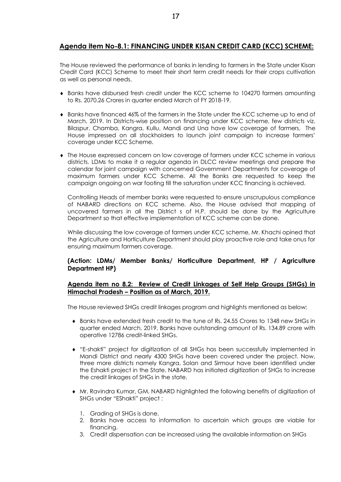## **Agenda item No-8.1: FINANCING UNDER KISAN CREDIT CARD (KCC) SCHEME:**

The House reviewed the performance of banks in lending to farmers in the State under Kisan Credit Card (KCC) Scheme to meet their short term credit needs for their crops cultivation as well as personal needs.

- ® Banks have disbursed fresh credit under the KCC scheme to 104270 farmers amounting to Rs. 2070.26 Crores in quarter ended March of FY 2018-19.
- ® Banks have financed 46% of the farmers in the State under the KCC scheme up to end of March, 2019. In Districts-wise position on financing under KCC scheme, few districts viz. Bilaspur, Chamba, Kangra, Kullu, Mandi and Una have low coverage of farmers. The House impressed on all stockholders to launch joint campaign to increase farmers' coverage under KCC Scheme.
- ® The House expressed concern on low coverage of farmers under KCC scheme in various districts. LDMs to make it a regular agenda in DLCC review meetings and prepare the calendar for joint campaign with concerned Government Departments for coverage of maximum farmers under KCC Scheme. All the Banks are requested to keep the campaign ongoing on war footing till the saturation under KCC financing is achieved.

Controlling Heads of member banks were requested to ensure unscrupulous compliance of NABARD directions on KCC scheme. Also, the House advised that mapping of uncovered farmers in all the District s of H.P. should be done by the Agriculture Department so that effective implementation of KCC scheme can be done.

While discussing the low coverage of farmers under KCC scheme, Mr. Khachi opined that the Agriculture and Horticulture Department should play proactive role and take onus for ensuring maximum farmers coverage.

#### **(Action: LDMs/ Member Banks/ Horticulture Department, HP / Agriculture Department HP)**

#### **Agenda item no 8.2: Review of Credit Linkages of Self Help Groups (SHGs) in Himachal Pradesh – Position as of March, 2019.**

The House reviewed SHGs credit linkages program and highlights mentioned as below;

- ® Banks have extended fresh credit to the tune of Rs. 24.55 Crores to 1348 new SHGs in quarter ended March, 2019. Banks have outstanding amount of Rs. 134.89 crore with operative 12786 credit-linked SHGs.
- ® "E-shakti" project for digitization of all SHGs has been successfully implemented in Mandi District and nearly 4300 SHGs have been covered under the project. Now, three more districts namely Kangra, Solan and Sirmour have been identified under the Eshakti project in the State. NABARD has initiated digitization of SHGs to increase the credit linkages of SHGs in the state.
- ® Mr. Ravindra Kumar, GM, NABARD highlighted the following benefits of digitization of SHGs under "EShakti" project :
	- 1. Grading of SHGs is done.
	- 2. Banks have access to information to ascertain which groups are viable for financing.
	- 3. Credit dispensation can be increased using the available information on SHGs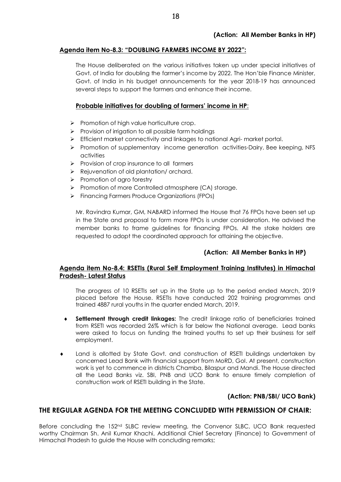#### **Agenda item No-8.3: "DOUBLING FARMERS INCOME BY 2022":**

The House deliberated on the various initiatives taken up under special initiatives of Govt. of India for doubling the farmer's income by 2022. The Hon'ble Finance Minister, Govt. of India in his budget announcements for the year 2018-19 has announced several steps to support the farmers and enhance their income.

#### **Probable initiatives for doubling of farmers' income in HP**:

- $\triangleright$  Promotion of high value horticulture crop.
- $\triangleright$  Provision of irrigation to all possible farm holdings
- ▶ Efficient market connectivity and linkages to national Agri- market portal.
- ÿ Promotion of supplementary income generation activities-Dairy, Bee keeping, NFS activities
- $\triangleright$  Provision of crop insurance to all farmers
- $\triangleright$  Rejuvenation of old plantation/ orchard.
- $\triangleright$  Promotion of agro forestry
- ▶ Promotion of more Controlled atmosphere (CA) storage.
- ▶ Financina Farmers Produce Organizations (FPOs)

Mr. Ravindra Kumar, GM, NABARD informed the House that 76 FPOs have been set up in the State and proposal to form more FPOs is under consideration. He advised the member banks to frame guidelines for financing FPOs. All the stake holders are requested to adopt the coordinated approach for attaining the objective.

#### **(Action: All Member Banks in HP)**

#### **Agenda item No-8.4: RSETIs (Rural Self Employment Training Institutes) in Himachal Pradesh- Latest Status**

The progress of 10 RSETIs set up in the State up to the period ended March, 2019 placed before the House. RSETIs have conducted 202 training programmes and trained 4887 rural youths in the quarter ended March, 2019.

- **Settlement through credit linkages:** The credit linkage ratio of beneficiaries trained from RSETI was recorded 26% which is far below the National average. Lead banks were asked to focus on funding the trained youths to set up their business for self employment.
- ® Land is allotted by State Govt. and construction of RSETI buildings undertaken by concerned Lead Bank with financial support from MoRD, GoI. At present, construction work is yet to commence in districts Chamba, Bilaspur and Mandi. The House directed all the Lead Banks viz. SBI, PNB and UCO Bank to ensure timely completion of construction work of RSETI building in the State.

#### **(Action: PNB/SBI/ UCO Bank)**

#### **THE REGULAR AGENDA FOR THE MEETING CONCLUDED WITH PERMISSION OF CHAIR:**

Before concluding the 152<sup>nd</sup> SLBC review meeting, the Convenor SLBC, UCO Bank requested worthy Chairman Sh. Anil Kumar Khachi, Additional Chief Secretary (Finance) to Government of Himachal Pradesh to guide the House with concluding remarks;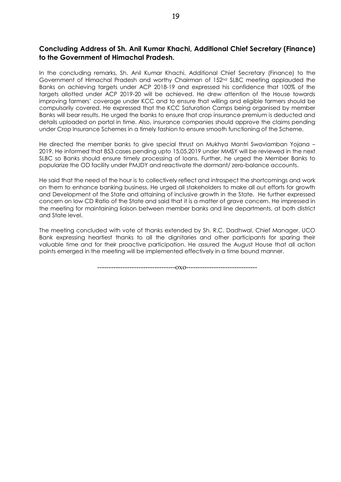## **Concluding Address of Sh. Anil Kumar Khachi, Additional Chief Secretary (Finance) to the Government of Himachal Pradesh.**

In the concluding remarks, Sh. Anil Kumar Khachi, Additional Chief Secretary (Finance) to the Government of Himachal Pradesh and worthy Chairman of 152nd SLBC meeting applauded the Banks on achieving targets under ACP 2018-19 and expressed his confidence that 100% of the targets allotted under ACP 2019-20 will be achieved. He drew attention of the House towards improving farmers' coverage under KCC and to ensure that willing and eligible farmers should be compulsorily covered. He expressed that the KCC Saturation Camps being organised by member Banks will bear results. He urged the banks to ensure that crop insurance premium is deducted and details uploaded on portal in time. Also, insurance companies should approve the claims pending under Crop Insurance Schemes in a timely fashion to ensure smooth functioning of the Scheme.

He directed the member banks to give special thrust on Mukhya Mantri Swavlamban Yojana – 2019. He informed that 853 cases pending upto 15.05.2019 under MMSY will be reviewed in the next SLBC so Banks should ensure timely processing of loans. Further, he urged the Member Banks to popularize the OD facility under PMJDY and reactivate the dormant/ zero-balance accounts.

He said that the need of the hour is to collectively reflect and introspect the shortcomings and work on them to enhance banking business. He urged all stakeholders to make all out efforts for growth and Development of the State and attaining of inclusive growth in the State. He further expressed concern on low CD Ratio of the State and said that it is a matter of grave concern. He impressed in the meeting for maintaining liaison between member banks and line departments, at both district and State level.

The meeting concluded with vote of thanks extended by Sh. R.C. Dadhwal, Chief Manager, UCO Bank expressing heartiest thanks to all the dignitaries and other participants for sparing their valuable time and for their proactive participation. He assured the August House that all action points emerged in the meeting will be implemented effectively in a time bound manner.

----------------------------------oxo-------------------------------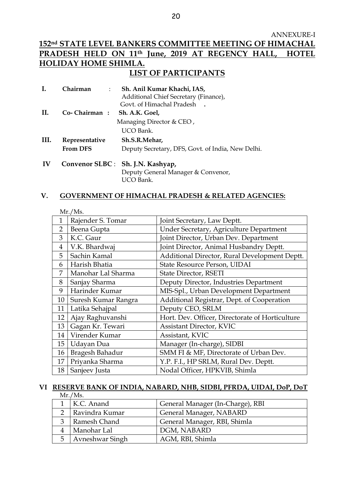#### ANNEXURE-I

## **152nd STATE LEVEL BANKERS COMMITTEE MEETING OF HIMACHAL PRADESH HELD ON 11th June, 2019 AT REGENCY HALL, HOTEL HOLIDAY HOME SHIMLA. LIST OF PARTICIPANTS**

|      | Chairman<br>$\mathbb{R}^n$ | Sh. Anil Kumar Khachi, IAS,<br>Additional Chief Secretary (Finance), |
|------|----------------------------|----------------------------------------------------------------------|
|      |                            | Govt. of Himachal Pradesh                                            |
| H.   | Co- Chairman:              | Sh. A.K. Goel,                                                       |
|      |                            | Managing Director $&$ CEO,                                           |
|      |                            | UCO Bank.                                                            |
| III. | Representative             | Sh.S.R.Mehar,                                                        |
|      | <b>From DFS</b>            | Deputy Secretary, DFS, Govt. of India, New Delhi.                    |
| IV   |                            | Convenor SLBC : Sh. J.N. Kashyap,                                    |
|      |                            | Deputy General Manager & Convenor,                                   |

UCO Bank.

#### **V. GOVERNMENT OF HIMACHAL PRADESH & RELATED AGENCIES:**

|                | Mr./Ms.             |                                                 |
|----------------|---------------------|-------------------------------------------------|
| $\mathbf{1}$   | Rajender S. Tomar   | Joint Secretary, Law Deptt.                     |
| $\overline{2}$ | Beena Gupta         | Under Secretary, Agriculture Department         |
| 3              | K.C. Gaur           | Joint Director, Urban Dev. Department           |
| $\overline{4}$ | V.K. Bhardwaj       | Joint Director, Animal Husbandry Deptt.         |
| 5              | Sachin Kamal        | Additional Director, Rural Development Deptt.   |
| 6              | Harish Bhatia       | State Resource Person, UIDAI                    |
| 7              | Manohar Lal Sharma  | State Director, RSETI                           |
| 8              | Sanjay Sharma       | Deputy Director, Industries Department          |
| 9              | Harinder Kumar      | MIS-Spl., Urban Development Department          |
| 10             | Suresh Kumar Rangra | Additional Registrar, Dept. of Cooperation      |
| 11             | Latika Sehajpal     | Deputy CEO, SRLM                                |
| 12             | Ajay Raghuvanshi    | Hort. Dev. Officer, Directorate of Horticulture |
| 13             | Gagan Kr. Tewari    | <b>Assistant Director, KVIC</b>                 |
| 14             | Virender Kumar      | Assistant, KVIC                                 |
| 15             | Udayan Dua          | Manager (In-charge), SIDBI                      |
| 16             | Bragesh Bahadur     | SMM FI & MF, Directorate of Urban Dev.          |
| 17             | Priyanka Sharma     | Y.P. F.I., HP SRLM, Rural Dev. Deptt.           |
| 18             | Sanjeev Justa       | Nodal Officer, HPKVIB, Shimla                   |

# **VI RESERVE BANK OF INDIA, NABARD, NHB, SIDBI, PFRDA, UIDAI, DoP, DoT**

Mr./Ms.

|               | K.C. Anand      | General Manager (In-Charge), RBI |
|---------------|-----------------|----------------------------------|
| $\mathcal{D}$ | Ravindra Kumar  | General Manager, NABARD          |
|               | Ramesh Chand    | General Manager, RBI, Shimla     |
|               | Manohar Lal     | DGM, NABARD                      |
| 5             | Avneshwar Singh | AGM, RBI, Shimla                 |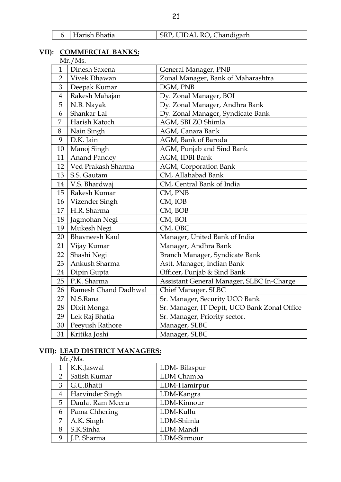|  | 6 Harish Bhatia | SRP, UIDAI, RO, Chandigarh |
|--|-----------------|----------------------------|
|--|-----------------|----------------------------|

## **VII): COMMERCIAL BANKS:**

|  |         | COMMENTALISH |  |
|--|---------|--------------|--|
|  | Mr./Ms. |              |  |
|  |         |              |  |

| $\mathbf{1}$   | Dinesh Saxena         | General Manager, PNB                         |
|----------------|-----------------------|----------------------------------------------|
| $\overline{2}$ | Vivek Dhawan          | Zonal Manager, Bank of Maharashtra           |
| 3              | Deepak Kumar          | DGM, PNB                                     |
| $\overline{4}$ | Rakesh Mahajan        | Dy. Zonal Manager, BOI                       |
| 5              | N.B. Nayak            | Dy. Zonal Manager, Andhra Bank               |
| 6              | Shankar Lal           | Dy. Zonal Manager, Syndicate Bank            |
| 7              | Harish Katoch         | AGM, SBI ZO Shimla.                          |
| 8              | Nain Singh            | AGM, Canara Bank                             |
| 9              | D.K. Jain             | AGM, Bank of Baroda                          |
| 10             | Manoj Singh           | AGM, Punjab and Sind Bank                    |
| 11             | <b>Anand Pandey</b>   | AGM, IDBI Bank                               |
| 12             | Ved Prakash Sharma    | AGM, Corporation Bank                        |
| 13             | S.S. Gautam           | CM, Allahabad Bank                           |
| 14             | V.S. Bhardwaj         | CM, Central Bank of India                    |
| 15             | Rakesh Kumar          | CM, PNB                                      |
| 16             | Vizender Singh        | CM, IOB                                      |
| 17             | H.R. Sharma           | CM, BOB                                      |
| 18             | Jagmohan Negi         | CM, BOI                                      |
| 19             | Mukesh Negi           | CM, OBC                                      |
| 20             | <b>Bhavneesh Kaul</b> | Manager, United Bank of India                |
| 21             | Vijay Kumar           | Manager, Andhra Bank                         |
| 22             | Shashi Negi           | Branch Manager, Syndicate Bank               |
| 23             | Ankush Sharma         | Astt. Manager, Indian Bank                   |
| 24             | Dipin Gupta           | Officer, Punjab & Sind Bank                  |
| 25             | P.K. Sharma           | Assistant General Manager, SLBC In-Charge    |
| 26             | Ramesh Chand Dadhwal  | Chief Manager, SLBC                          |
| 27             | N.S.Rana              | Sr. Manager, Security UCO Bank               |
| 28             | Dixit Monga           | Sr. Manager, IT Deptt, UCO Bank Zonal Office |
| 29             | Lek Raj Bhatia        | Sr. Manager, Priority sector.                |
| 30             | Peeyush Rathore       | Manager, SLBC                                |
| 31             | Kritika Joshi         | Manager, SLBC                                |

## **VIII): LEAD DISTRICT MANAGERS:**

|                | Mr./Ms.          |              |  |
|----------------|------------------|--------------|--|
|                | K.K.Jaswal       | LDM-Bilaspur |  |
| $\overline{2}$ | Satish Kumar     | LDM Chamba   |  |
| 3              | G.C.Bhatti       | LDM-Hamirpur |  |
| $\overline{4}$ | Harvinder Singh  | LDM-Kangra   |  |
| 5              | Daulat Ram Meena | LDM-Kinnour  |  |
| 6              | Pama Chhering    | LDM-Kullu    |  |
|                | A.K. Singh       | LDM-Shimla   |  |
| 8              | S.K.Sinha        | LDM-Mandi    |  |
| 9              | J.P. Sharma      | LDM-Sirmour  |  |